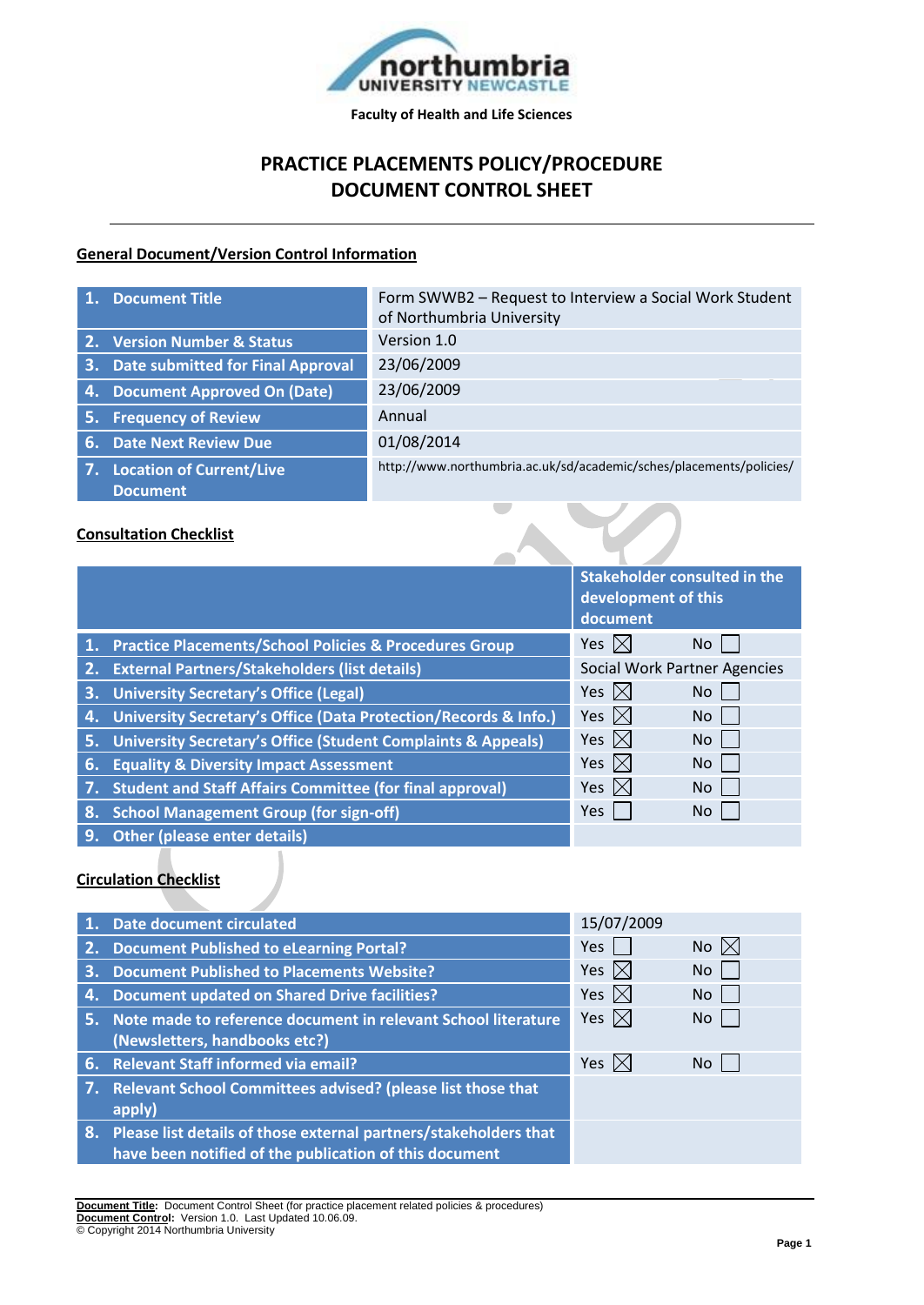

# **PRACTICE PLACEMENTS POLICY/PROCEDURE DOCUMENT CONTROL SHEET**

#### **General Document/Version Control Information**

|    | 1. Document Title                  | Form SWWB2 - Request to Interview a Social Work Student<br>of Northumbria University |
|----|------------------------------------|--------------------------------------------------------------------------------------|
|    | 2. Version Number & Status         | Version 1.0                                                                          |
| 3. | Date submitted for Final Approval  | 23/06/2009                                                                           |
| 4. | <b>Document Approved On (Date)</b> | 23/06/2009                                                                           |
|    | 5. Frequency of Review             | Annual                                                                               |
|    | 6. Date Next Review Due            | 01/08/2014                                                                           |
|    | 7. Location of Current/Live        | http://www.northumbria.ac.uk/sd/academic/sches/placements/policies/                  |
|    | <b>Document</b>                    |                                                                                      |
|    |                                    |                                                                                      |

#### **Consultation Checklist**

|           |                                                                         | <b>Stakeholder consulted in the</b><br>development of this<br>document |           |
|-----------|-------------------------------------------------------------------------|------------------------------------------------------------------------|-----------|
|           | 1. Practice Placements/School Policies & Procedures Group               | Yes $\boxtimes$                                                        | No.       |
|           | 2. External Partners/Stakeholders (list details)                        | <b>Social Work Partner Agencies</b>                                    |           |
| 3.        | University Secretary's Office (Legal)                                   | Yes $\boxtimes$                                                        | No.       |
| 4.        | University Secretary's Office (Data Protection/Records & Info.)         | Yes $\boxtimes$                                                        | No.       |
| 5.        | <b>University Secretary's Office (Student Complaints &amp; Appeals)</b> | Yes $\boxtimes$                                                        | <b>No</b> |
| 6.        | <b>Equality &amp; Diversity Impact Assessment</b>                       | Yes $\boxtimes$                                                        | No.       |
| <b>Av</b> | <b>Student and Staff Affairs Committee (for final approval)</b>         | Yes $ \times $                                                         | No.       |
| 8.        | <b>School Management Group (for sign-off)</b>                           | Yes                                                                    | No        |
| $\Omega$  | Othor Inloses ontor dotails)                                            |                                                                        |           |

**9. Other (please enter details)**

#### **Circulation Checklist**

|    | 1. Date document circulated                                                                                                   | 15/07/2009      |                |
|----|-------------------------------------------------------------------------------------------------------------------------------|-----------------|----------------|
| 2. | <b>Document Published to eLearning Portal?</b>                                                                                | <b>Yes</b>      | No $\boxtimes$ |
| 3. | <b>Document Published to Placements Website?</b>                                                                              | Yes $ \times $  | No.            |
| 4. | <b>Document updated on Shared Drive facilities?</b>                                                                           | Yes $ \times $  | No.            |
|    | 5. Note made to reference document in relevant School literature<br>(Newsletters, handbooks etc?)                             | Yes $\boxtimes$ | No.            |
|    | 6. Relevant Staff informed via email?                                                                                         | Yes $ \times $  | No.            |
|    | 7. Relevant School Committees advised? (please list those that<br>apply)                                                      |                 |                |
|    | 8. Please list details of those external partners/stakeholders that<br>have been notified of the publication of this document |                 |                |

**Document Title:** Document Control Sheet (for practice placement related policies & procedures) **Document Control:** Version 1.0. Last Updated 10.06.09. © Copyright 2014 Northumbria University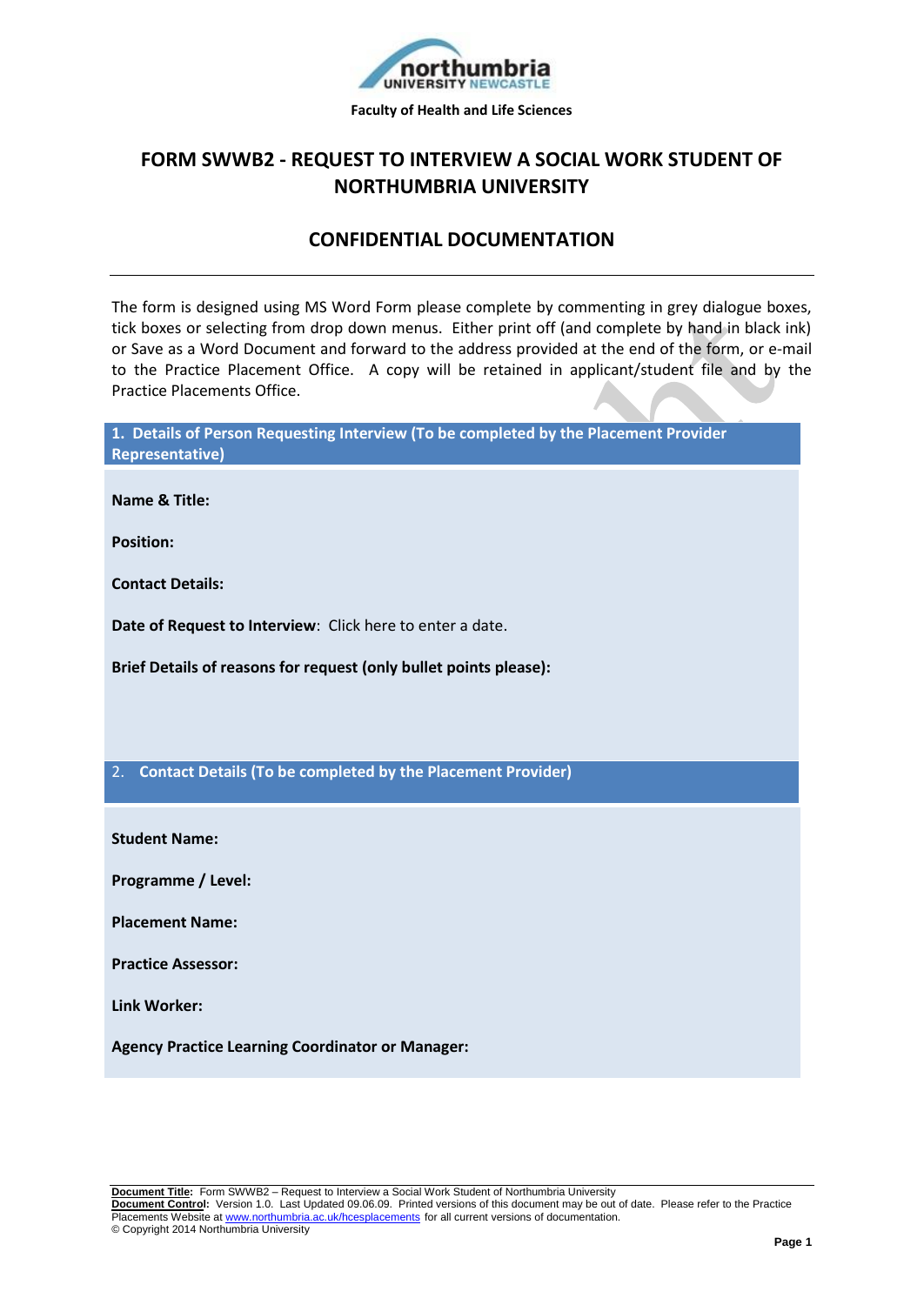

## **FORM SWWB2 - REQUEST TO INTERVIEW A SOCIAL WORK STUDENT OF NORTHUMBRIA UNIVERSITY**

### **CONFIDENTIAL DOCUMENTATION**

The form is designed using MS Word Form please complete by commenting in grey dialogue boxes, tick boxes or selecting from drop down menus. Either print off (and complete by hand in black ink) or Save as a Word Document and forward to the address provided at the end of the form, or e-mail to the Practice Placement Office. A copy will be retained in applicant/student file and by the Practice Placements Office.

**1. Details of Person Requesting Interview (To be completed by the Placement Provider Representative)**

**Name & Title:** 

**Position:** 

**Contact Details:** 

**Date of Request to Interview**: Click here to enter a date.

**Brief Details of reasons for request (only bullet points please):** 

2. **Contact Details (To be completed by the Placement Provider)**

**Student Name:** 

**Programme / Level:** 

**Placement Name:** 

**Practice Assessor:** 

**Link Worker:** 

**Agency Practice Learning Coordinator or Manager:**